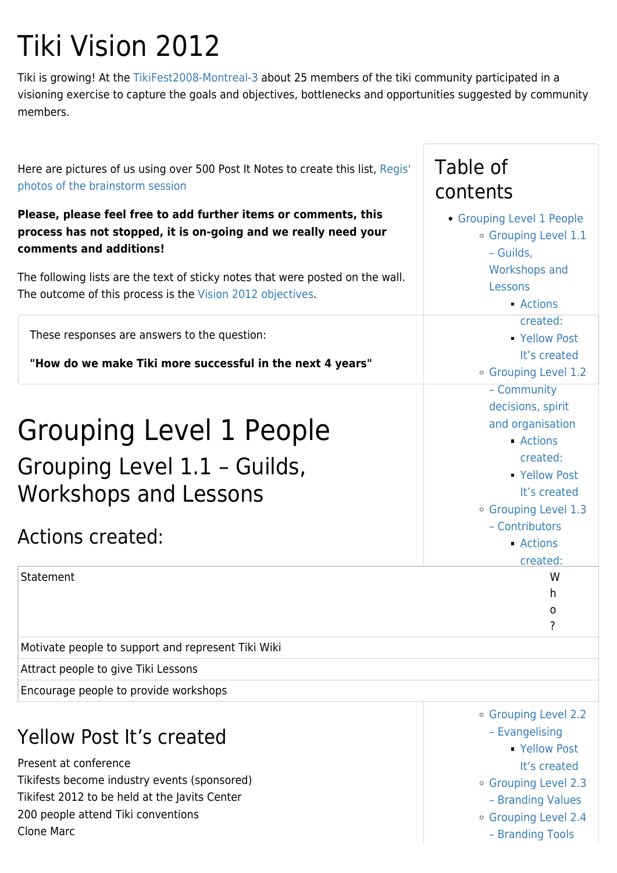# Tiki Vision 2012

Tiki is growing! At the [TikiFest2008-Montreal-3](https://tiki.org/TikiFest2008-Montreal-3) about 25 members of the tiki community participated in a visioning exercise to capture the goals and objectives, bottlenecks and opportunities suggested by community members.

Here are pictures of us using over 500 Post It Notes to create this list, [Regis'](http://gallery.me.com/regis.b#100024) [photos of the brainstorm session](http://gallery.me.com/regis.b#100024)

**Please, please feel free to add further items or comments, this process has not stopped, it is on-going and we really need your comments and additions!**

The following lists are the text of sticky notes that were posted on the wall. The outcome of this process is the [Vision 2012 objectives.](https://tiki.org/Vision-2012-objectives)

These responses are answers to the question:

**"How do we make Tiki more successful in the next 4 years"**

## Grouping Level 1 People Grouping Level 1.1 – Guilds, Workshops and Lessons

#### Actions created:

Statement W

Motivate people to support and represent Tiki Wiki

Attract people to give Tiki Lessons

Encourage people to provide workshops

#### Yellow Post It's created

Present at conference Tikifests become industry events (sponsored) Tikifest 2012 to be held at the Javits Center 200 people attend Tiki conventions Clone Marc

#### Table of contents

- [Grouping Level 1 People](#page--1-0) [Grouping Level 1.1](#Grouping_Level_1.1_Guilds_Workshops_and_Lessons) [– Guilds,](#Grouping_Level_1.1_Guilds_Workshops_and_Lessons) [Workshops and](#Grouping_Level_1.1_Guilds_Workshops_and_Lessons) [Lessons](#Grouping_Level_1.1_Guilds_Workshops_and_Lessons) [Actions](#page--1-0) [created:](#page--1-0) [Yellow Post](#page--1-0) [It's created](#page--1-0) [Grouping Level 1.2](#Grouping_Level_1.2_Community_decisions_spirit_and_organisation)
	- [Community](#Grouping_Level_1.2_Community_decisions_spirit_and_organisation)
	- [decisions, spirit](#Grouping_Level_1.2_Community_decisions_spirit_and_organisation) [and organisation](#Grouping_Level_1.2_Community_decisions_spirit_and_organisation)
		- [Actions](#page--1-0)
		- [created:](#page--1-0)
		- [Yellow Post](#page--1-0) [It's created](#page--1-0)
		-
	- [Grouping Level 1.3](#Grouping_Level_1.3_Contributors) [– Contributors](#Grouping_Level_1.3_Contributors)
		- [Actions](#page--1-0)
			- [created:](#page--1-0)
				- $W$
				- [It's created](#page--1-0) h
					- o
					- ?
	- [Marketing and Logo](#page--1-0)

[Yellow Post](#page--1-0) [It's created](#page--1-0)

- [Grouping Level 2.2](#Grouping_Level_2.2_Evangelising)
	- [Evangelising](#Grouping_Level_2.2_Evangelising)
		- [Yellow Post](#page--1-0)
			- [It's created](#page--1-0)
- [Grouping Level 2.3](#Grouping_Level_2.3_Branding_Values)
- [Branding Values](#Grouping_Level_2.3_Branding_Values)
- [Grouping Level 2.4](#Grouping_Level_2.4_Branding_Tools) [– Branding Tools](#Grouping_Level_2.4_Branding_Tools)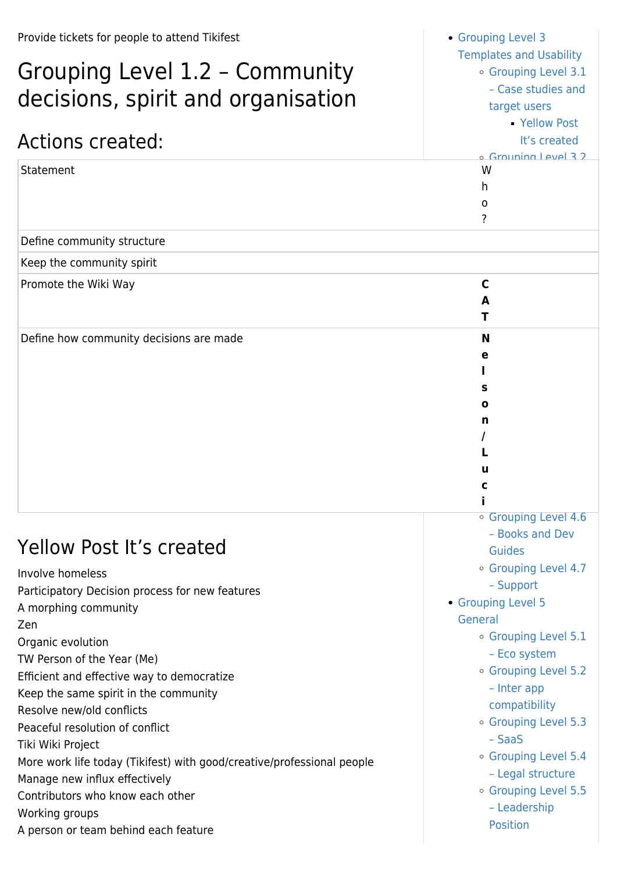Provide tickets for people to attend Tikifest

Actions created:

Define community structure

Keep the community spirit

#### Grouping Level 1.2 – Community decisions, spirit and organisation

[Grouping Level 3](#page--1-0) [Templates and Usability](#page--1-0) [Grouping Level 3.1](#Grouping_Level_3.1_Case_studies_and_target_users) [– Case studies and](#Grouping_Level_3.1_Case_studies_and_target_users) [target users](#Grouping_Level_3.1_Case_studies_and_target_users) [Yellow Post](#page--1-0) [It's created](#page--1-0) [Grouping Level 3.2](#Grouping_Level_3.2_UI)  $\mathbf{U}$ [Grouping Level 4 Docs](#page--1-0) Statement World in the Statement World in the Statement World in the Statement World in the Statement World in the Statement World in the Statement World in the Statement World in the Statement World in the Statement World h o ?

> [Grouping Level 4.2](#Grouping_Level_4.2_Code_Quality) [– Code Quality](#Grouping_Level_4.2_Code_Quality)

**A T**

**e l s o n / L u c i**

[Grouping Level 4.6](#Grouping_Level_4.6_Books_and_Dev_Guides) [– Books and Dev](#Grouping_Level_4.6_Books_and_Dev_Guides)

[Grouping Level 4.7](#Grouping_Level_4.7_Support)

o [Grouping Level 5.1](#Grouping_Level_5.1_Eco_system) [– Eco system](#Grouping_Level_5.1_Eco_system) [Grouping Level 5.2](#Grouping_Level_5.2_Inter_app_compatibility)

[Grouping Level 5.4](#Grouping_Level_5.4_Legal_structure) [– Legal structure](#Grouping_Level_5.4_Legal_structure) [Grouping Level 5.5](#Grouping_Level_5.5_Leadership_Position) [– Leadership](#Grouping_Level_5.5_Leadership_Position) [Position](#Grouping_Level_5.5_Leadership_Position)

[Guides](#Grouping_Level_4.6_Books_and_Dev_Guides)

[– Inter app](#Grouping_Level_5.2_Inter_app_compatibility) [compatibility](#Grouping_Level_5.2_Inter_app_compatibility) [Grouping Level 5.3](#Grouping_Level_5.3_SaaS)

#### Yellow Post It's created

| Involve homeless                                                       | $\circ$ Grouping L |
|------------------------------------------------------------------------|--------------------|
| Participatory Decision process for new features                        | - Support          |
| A morphing community                                                   | • Grouping Level 5 |
| Zen                                                                    | General            |
| Organic evolution                                                      | ○ Grouping Lo      |
| TW Person of the Year (Me)                                             | - Eco syste        |
| Efficient and effective way to democratize                             | ○ Grouping Lo      |
| Keep the same spirit in the community                                  | - Inter app        |
| Resolve new/old conflicts                                              | compatibili        |
| Peaceful resolution of conflict                                        | ○ Grouping Lo      |
| Tiki Wiki Project                                                      | - SaaS             |
| More work life today (Tikifest) with good/creative/professional people | ○ Grouping Lo      |
| Manage new influx effectively                                          | - Legal stru       |
| Contributors who know each other                                       | ○ Grouping Lo      |
| Working groups                                                         | - Leadershi        |
| A person or team behind each feature                                   | <b>Position</b>    |
|                                                                        |                    |

Promote the Wiki Way **C**

Define how community decisions are made **N**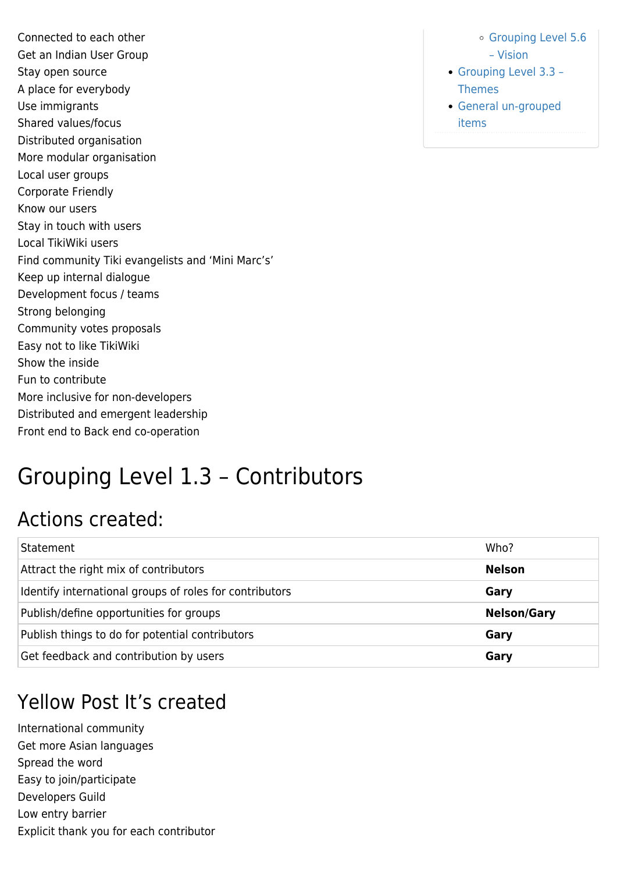Connected to each other Get an Indian User Group Stay open source A place for everybody Use immigrants Shared values/focus Distributed organisation More modular organisation Local user groups Corporate Friendly Know our users Stay in touch with users Local TikiWiki users Find community Tiki evangelists and 'Mini Marc's' Keep up internal dialogue Development focus / teams Strong belonging Community votes proposals Easy not to like TikiWiki Show the inside Fun to contribute More inclusive for non-developers Distributed and emergent leadership Front end to Back end co-operation

### Grouping Level 1.3 – Contributors

#### Actions created:

| Statement                                               | Who?               |
|---------------------------------------------------------|--------------------|
| Attract the right mix of contributors                   | <b>Nelson</b>      |
| Identify international groups of roles for contributors | Gary               |
| Publish/define opportunities for groups                 | <b>Nelson/Gary</b> |
| Publish things to do for potential contributors         | Gary               |
| Get feedback and contribution by users                  | Gary               |

#### Yellow Post It's created

International community Get more Asian languages Spread the word Easy to join/participate Developers Guild Low entry barrier Explicit thank you for each contributor

[Grouping Level 5.6](#Grouping_Level_5.6_Vision) [– Vision](#Grouping_Level_5.6_Vision) [Grouping Level 3.3 –](#Grouping_Level_3.3_Themes) **[Themes](#Grouping_Level_3.3_Themes)** [General un-grouped](#page--1-0) [items](#page--1-0)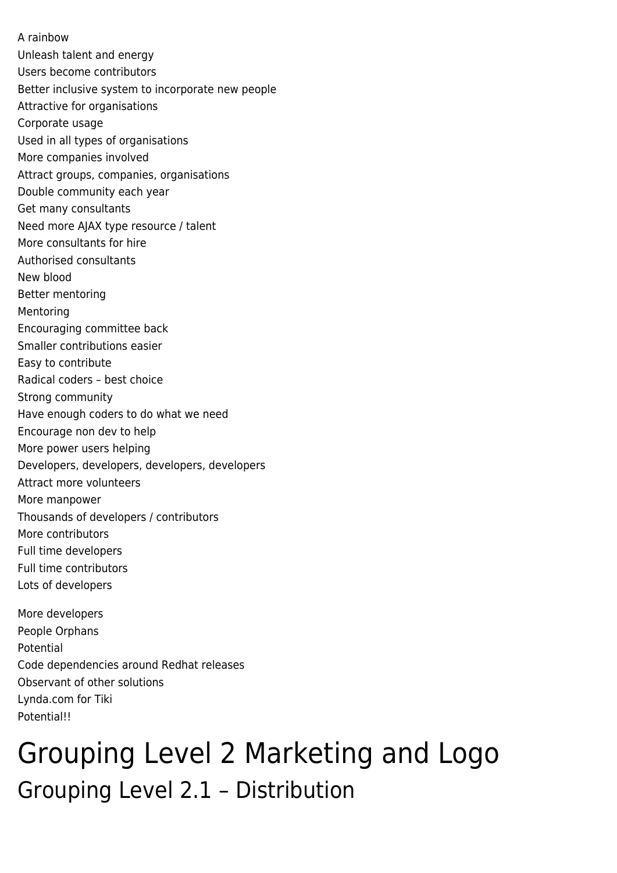A rainbow Unleash talent and energy Users become contributors Better inclusive system to incorporate new people Attractive for organisations Corporate usage Used in all types of organisations More companies involved Attract groups, companies, organisations Double community each year Get many consultants Need more AJAX type resource / talent More consultants for hire Authorised consultants New blood Better mentoring Mentoring Encouraging committee back Smaller contributions easier Easy to contribute Radical coders – best choice Strong community Have enough coders to do what we need Encourage non dev to help More power users helping Developers, developers, developers, developers Attract more volunteers More manpower Thousands of developers / contributors More contributors Full time developers Full time contributors Lots of developers More developers People Orphans Potential Code dependencies around Redhat releases

Observant of other solutions Lynda.com for Tiki

Potential!!

# Grouping Level 2 Marketing and Logo Grouping Level 2.1 – Distribution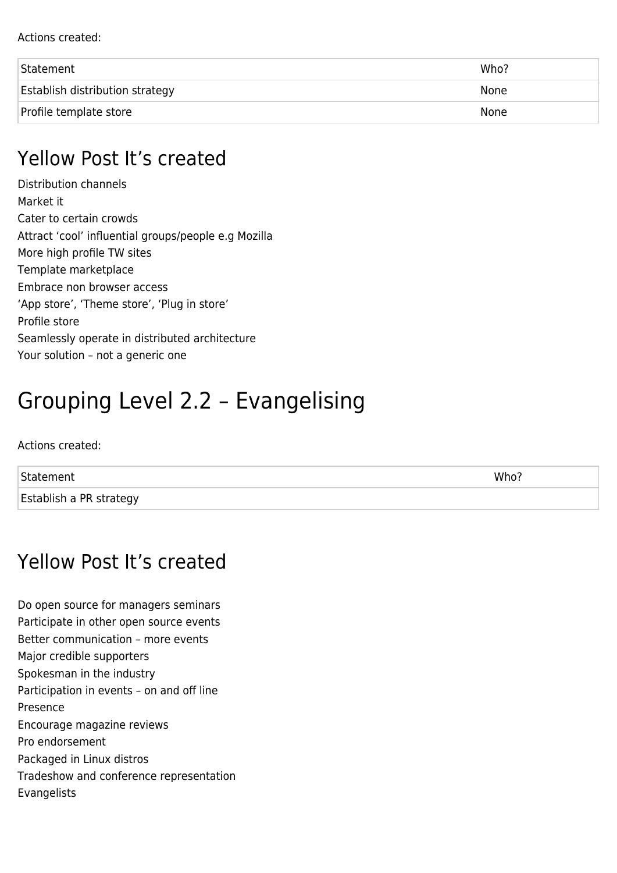Actions created:

| Statement                              | Who? |
|----------------------------------------|------|
| <b>Establish distribution strategy</b> | None |
| Profile template store                 | None |

#### Yellow Post It's created

#### Grouping Level 2.2 – Evangelising

Actions created:

Statement Who?

Establish a PR strategy

#### Yellow Post It's created

Do open source for managers seminars Participate in other open source events Better communication – more events Major credible supporters Spokesman in the industry Participation in events – on and off line Presence Encourage magazine reviews Pro endorsement Packaged in Linux distros Tradeshow and conference representation Evangelists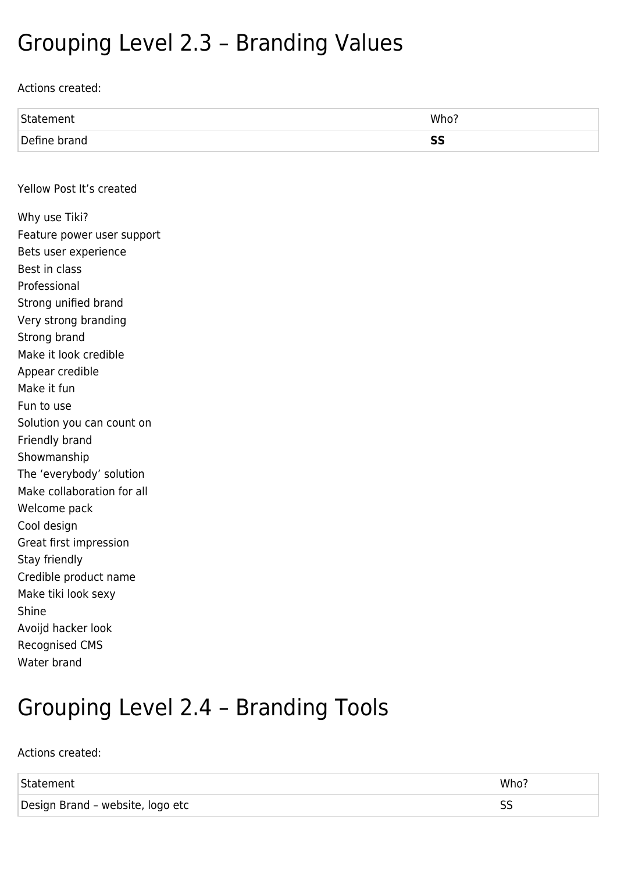#### Grouping Level 2.3 – Branding Values

Actions created:

| <sup>I</sup> Statement | Who? |
|------------------------|------|
| Define brand           | SS   |

Yellow Post It's created

Why use Tiki? Feature power user support Bets user experience Best in class Professional Strong unified brand Very strong branding Strong brand Make it look credible Appear credible Make it fun Fun to use Solution you can count on Friendly brand Showmanship The 'everybody' solution Make collaboration for all Welcome pack Cool design Great first impression Stay friendly Credible product name Make tiki look sexy Shine Avoijd hacker look Recognised CMS Water brand

### Grouping Level 2.4 – Branding Tools

Actions created:

| Statement                        | Who? |
|----------------------------------|------|
| Design Brand - website, logo etc |      |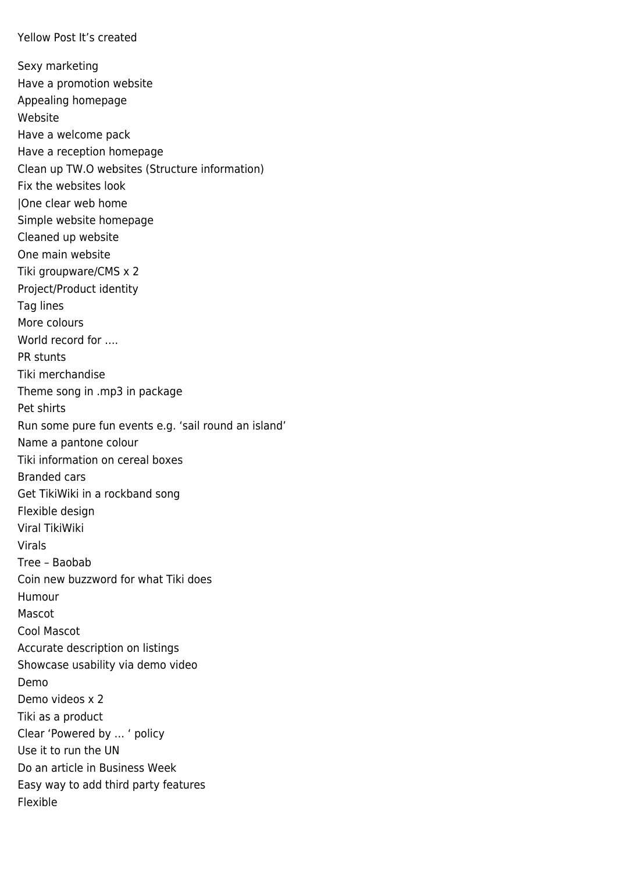#### Yellow Post It's created

Sexy marketing Have a promotion website Appealing homepage Website Have a welcome pack Have a reception homepage Clean up TW.O websites (Structure information) Fix the websites look |One clear web home Simple website homepage Cleaned up website One main website Tiki groupware/CMS x 2 Project/Product identity Tag lines More colours World record for …. PR stunts Tiki merchandise Theme song in .mp3 in package Pet shirts Run some pure fun events e.g. 'sail round an island' Name a pantone colour Tiki information on cereal boxes Branded cars Get TikiWiki in a rockband song Flexible design Viral TikiWiki Virals Tree – Baobab Coin new buzzword for what Tiki does Humour Mascot Cool Mascot Accurate description on listings Showcase usability via demo video Demo Demo videos x 2 Tiki as a product Clear 'Powered by … ' policy Use it to run the UN Do an article in Business Week Easy way to add third party features Flexible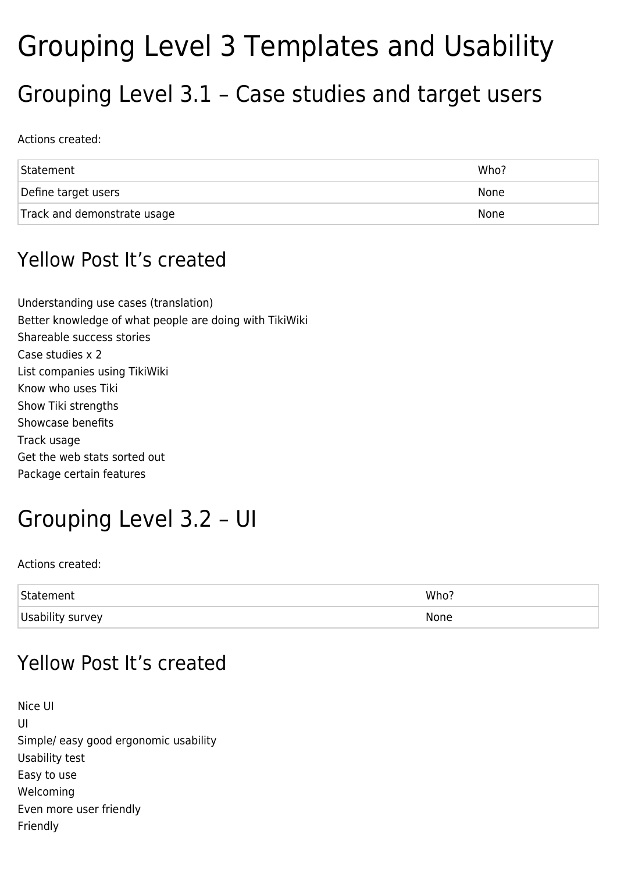# Grouping Level 3 Templates and Usability

### Grouping Level 3.1 – Case studies and target users

Actions created:

| Statement                   | Who? |
|-----------------------------|------|
| Define target users         | None |
| Track and demonstrate usage | None |

#### Yellow Post It's created

Understanding use cases (translation) Better knowledge of what people are doing with TikiWiki Shareable success stories Case studies x 2 List companies using TikiWiki Know who uses Tiki Show Tiki strengths Showcase benefits Track usage Get the web stats sorted out Package certain features

### Grouping Level 3.2 – UI

Actions created:

| Statement        | Who? |
|------------------|------|
| Usability survey | None |

#### Yellow Post It's created

Nice UI UI Simple/ easy good ergonomic usability Usability test Easy to use Welcoming Even more user friendly Friendly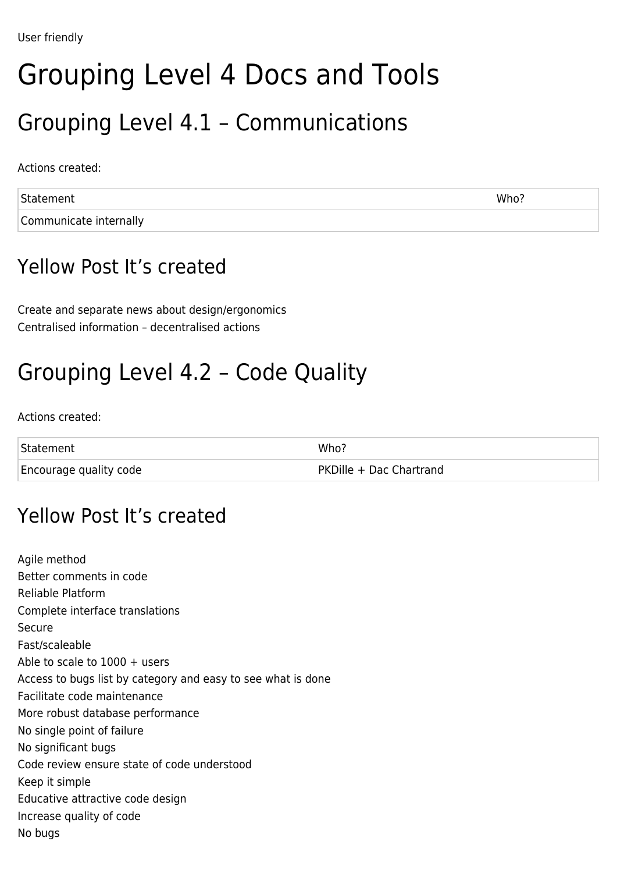# Grouping Level 4 Docs and Tools

#### Grouping Level 4.1 – Communications

Actions created:

Statement Who? Communicate internally

#### Yellow Post It's created

Create and separate news about design/ergonomics Centralised information – decentralised actions

### Grouping Level 4.2 – Code Quality

Actions created:

| <b>Statement</b>       | Who?                    |
|------------------------|-------------------------|
| Encourage quality code | PKDille + Dac Chartrand |

#### Yellow Post It's created

Agile method Better comments in code Reliable Platform Complete interface translations Secure Fast/scaleable Able to scale to 1000 + users Access to bugs list by category and easy to see what is done Facilitate code maintenance More robust database performance No single point of failure No significant bugs Code review ensure state of code understood Keep it simple Educative attractive code design Increase quality of code No bugs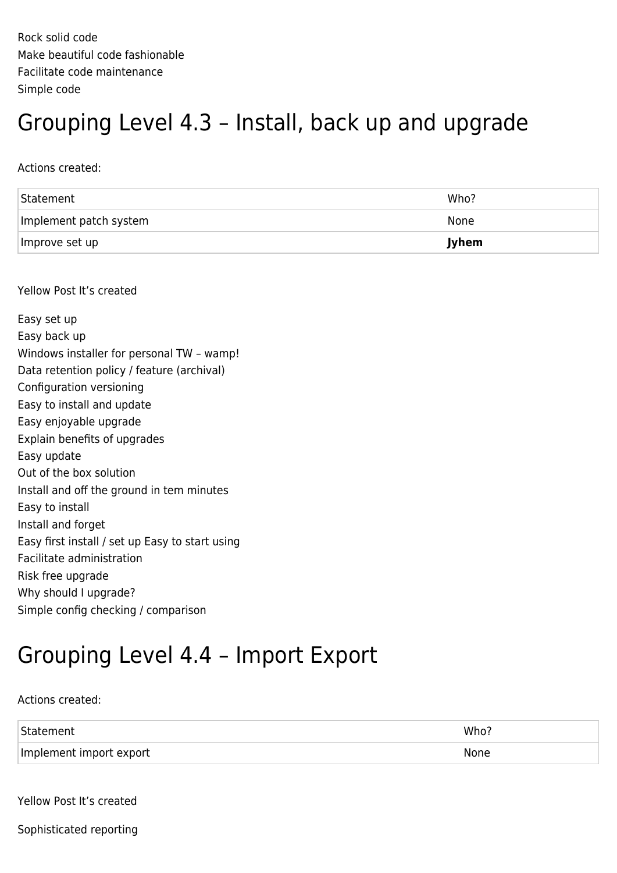Rock solid code Make beautiful code fashionable Facilitate code maintenance Simple code

### Grouping Level 4.3 – Install, back up and upgrade

Actions created:

| Statement              | Who?  |
|------------------------|-------|
| Implement patch system | None  |
| Improve set up         | Jyhem |

Yellow Post It's created

Easy set up Easy back up Windows installer for personal TW – wamp! Data retention policy / feature (archival) Configuration versioning Easy to install and update Easy enjoyable upgrade Explain benefits of upgrades Easy update Out of the box solution Install and off the ground in tem minutes Easy to install Install and forget Easy first install / set up Easy to start using Facilitate administration Risk free upgrade Why should I upgrade? Simple config checking / comparison

#### Grouping Level 4.4 – Import Export

Actions created:

| <sup>1</sup> Statement  | Whoʻ        |
|-------------------------|-------------|
| Implement import export | <b>None</b> |

Yellow Post It's created

Sophisticated reporting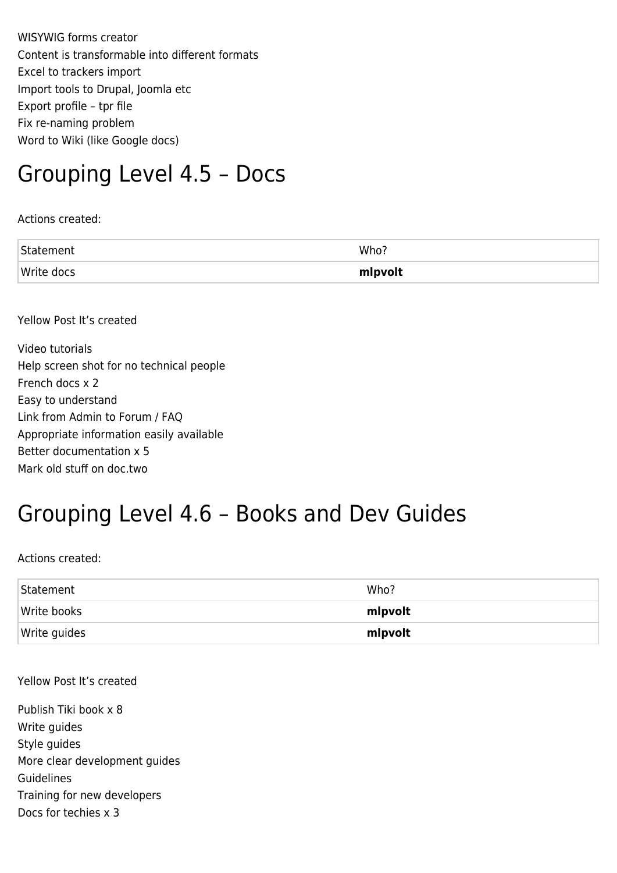WISYWIG forms creator Content is transformable into different formats Excel to trackers import Import tools to Drupal, Joomla etc Export profile – tpr file Fix re-naming problem Word to Wiki (like Google docs)

#### Grouping Level 4.5 – Docs

Actions created:

| Statement  | Who?    |
|------------|---------|
| Write docs | mlpvolt |

Yellow Post It's created

Video tutorials Help screen shot for no technical people French docs x 2 Easy to understand Link from Admin to Forum / FAQ Appropriate information easily available Better documentation x 5 Mark old stuff on doc.two

#### Grouping Level 4.6 – Books and Dev Guides

Actions created:

| Statement    | Who?    |
|--------------|---------|
| Write books  | mlpvolt |
| Write guides | mlpvolt |

Yellow Post It's created

Publish Tiki book x 8 Write guides Style guides More clear development guides Guidelines Training for new developers Docs for techies x 3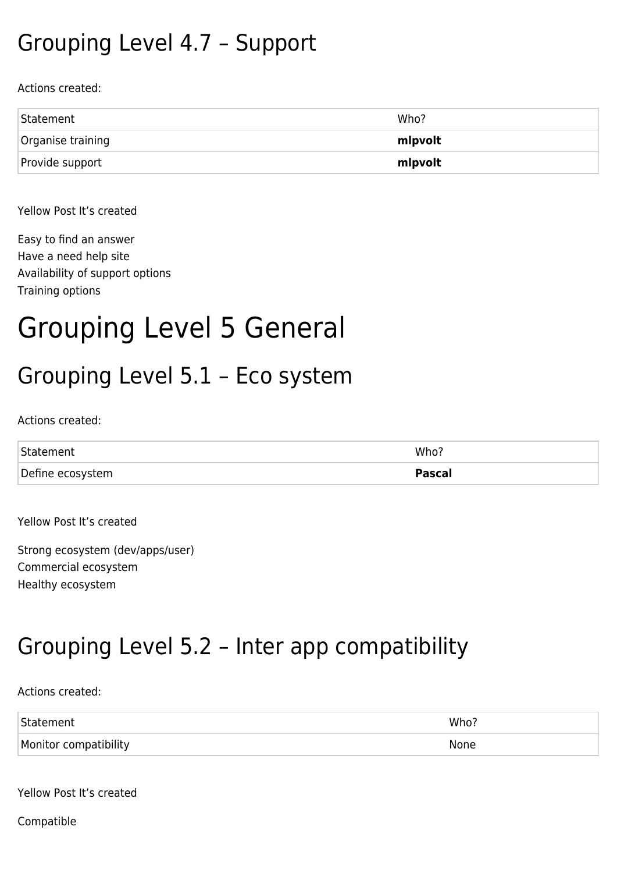#### Grouping Level 4.7 – Support

Actions created:

| Statement         | Who?    |
|-------------------|---------|
| Organise training | mipvolt |
| Provide support   | mipvolt |

Yellow Post It's created

Easy to find an answer Have a need help site Availability of support options Training options

# Grouping Level 5 General

#### Grouping Level 5.1 – Eco system

Actions created:

| Statement        | Who?          |
|------------------|---------------|
| Define ecosystem | <b>Pascal</b> |

Yellow Post It's created

Strong ecosystem (dev/apps/user) Commercial ecosystem Healthy ecosystem

#### Grouping Level 5.2 – Inter app compatibility

Actions created:

| Statement             | Who? |
|-----------------------|------|
| Monitor compatibility | None |

Yellow Post It's created

Compatible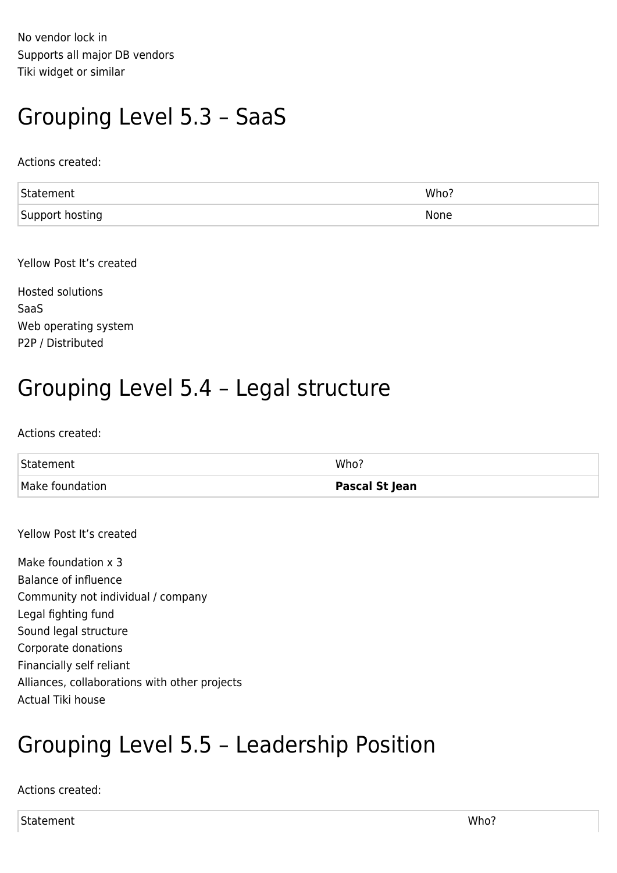No vendor lock in Supports all major DB vendors Tiki widget or similar

#### Grouping Level 5.3 – SaaS

Actions created:

| Statement       | Who? |
|-----------------|------|
| Support hosting | None |

Yellow Post It's created

Hosted solutions SaaS Web operating system P2P / Distributed

#### Grouping Level 5.4 – Legal structure

Actions created:

| Statement       | Who?                  |
|-----------------|-----------------------|
| Make foundation | <b>Pascal St Jean</b> |

Yellow Post It's created

Make foundation x 3 Balance of influence Community not individual / company Legal fighting fund Sound legal structure Corporate donations Financially self reliant Alliances, collaborations with other projects Actual Tiki house

### Grouping Level 5.5 – Leadership Position

Actions created:

Statement Who?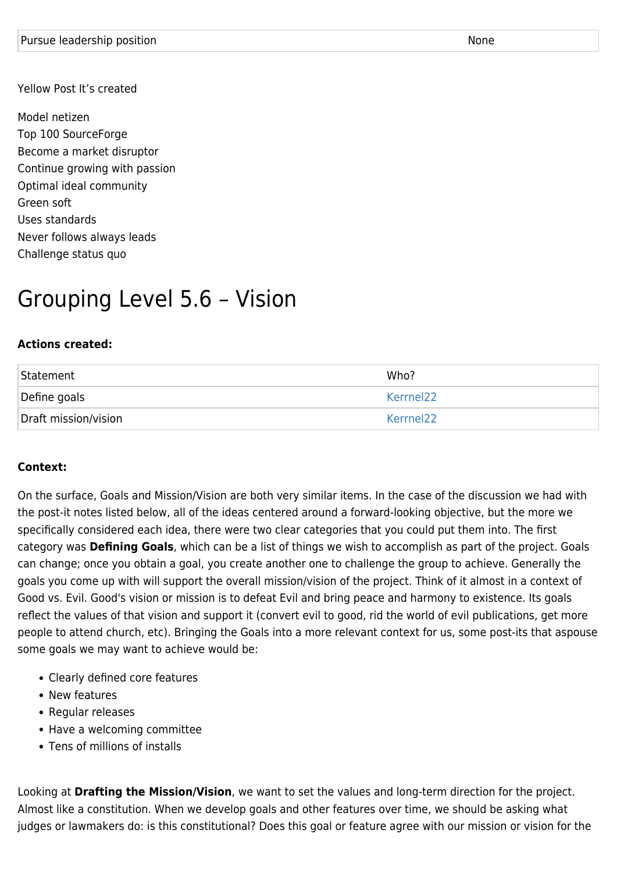#### Yellow Post It's created

Model netizen Top 100 SourceForge Become a market disruptor Continue growing with passion Optimal ideal community Green soft Uses standards Never follows always leads Challenge status quo

#### Grouping Level 5.6 – Vision

#### **Actions created:**

| Statement            | Who?                  |
|----------------------|-----------------------|
| Define goals         | Kerrnel <sub>22</sub> |
| Draft mission/vision | Kerrnel <sub>22</sub> |

#### **Context:**

On the surface, Goals and Mission/Vision are both very similar items. In the case of the discussion we had with the post-it notes listed below, all of the ideas centered around a forward-looking objective, but the more we specifically considered each idea, there were two clear categories that you could put them into. The first category was **Defining Goals**, which can be a list of things we wish to accomplish as part of the project. Goals can change; once you obtain a goal, you create another one to challenge the group to achieve. Generally the goals you come up with will support the overall mission/vision of the project. Think of it almost in a context of Good vs. Evil. Good's vision or mission is to defeat Evil and bring peace and harmony to existence. Its goals reflect the values of that vision and support it (convert evil to good, rid the world of evil publications, get more people to attend church, etc). Bringing the Goals into a more relevant context for us, some post-its that aspouse some goals we may want to achieve would be:

- Clearly defined core features
- New features
- Regular releases
- Have a welcoming committee
- Tens of millions of installs

Looking at **Drafting the Mission/Vision**, we want to set the values and long-term direction for the project. Almost like a constitution. When we develop goals and other features over time, we should be asking what judges or lawmakers do: is this constitutional? Does this goal or feature agree with our mission or vision for the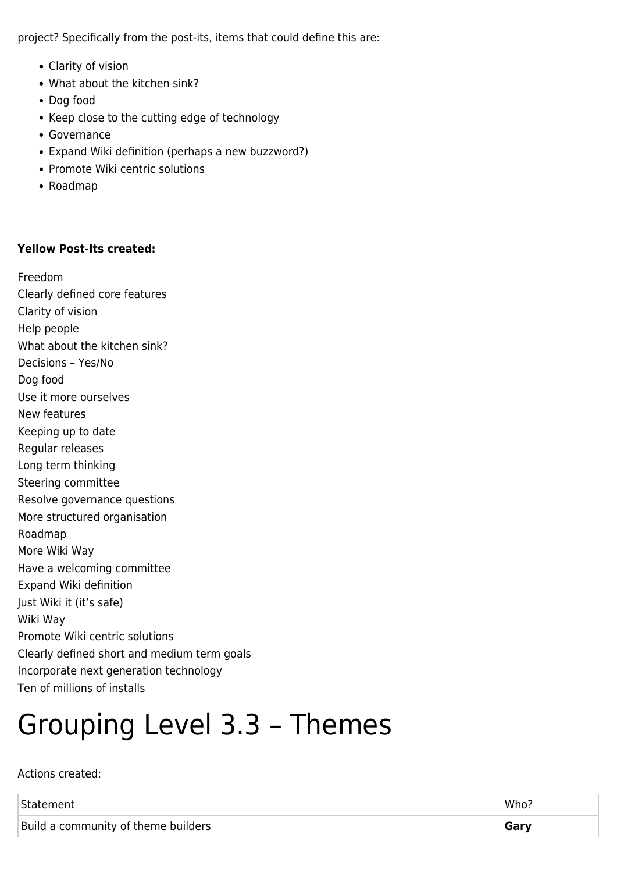project? Specifically from the post-its, items that could define this are:

- Clarity of vision
- What about the kitchen sink?
- Dog food
- Keep close to the cutting edge of technology
- Governance
- Expand Wiki definition (perhaps a new buzzword?)
- Promote Wiki centric solutions
- Roadmap

#### **Yellow Post-Its created:**

Freedom Clearly defined core features Clarity of vision Help people What about the kitchen sink? Decisions – Yes/No Dog food Use it more ourselves New features Keeping up to date Regular releases Long term thinking Steering committee Resolve governance questions More structured organisation Roadmap More Wiki Way Have a welcoming committee Expand Wiki definition Just Wiki it (it's safe) Wiki Way Promote Wiki centric solutions Clearly defined short and medium term goals Incorporate next generation technology Ten of millions of installs

# Grouping Level 3.3 – Themes

Actions created:

Statement Who?

Build a community of theme builders **Gary Gary**